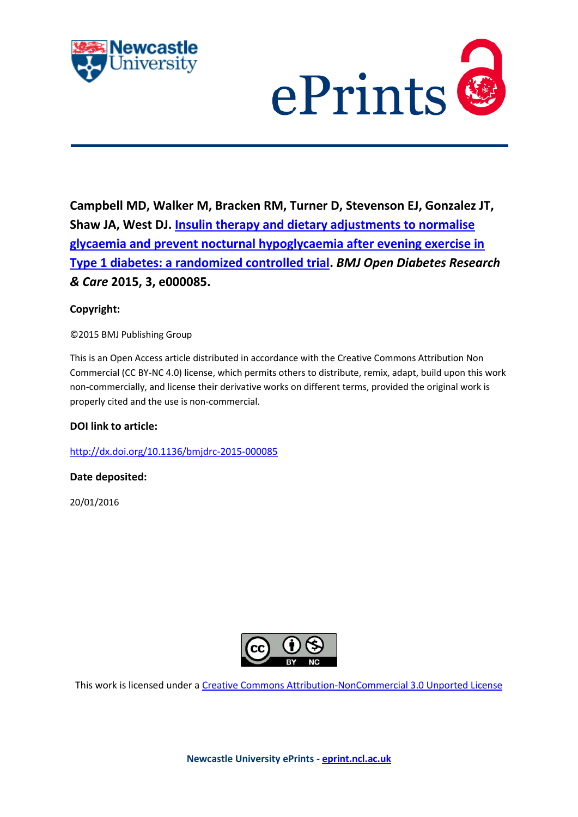



**Campbell MD, Walker M, Bracken RM, Turner D, Stevenson EJ, Gonzalez JT, Shaw JA, West DJ. [Insulin therapy and dietary adjustments to normalise](javascript:ViewPublication(218420);)  [glycaemia and prevent nocturnal hypoglycaemia after evening exercise in](javascript:ViewPublication(218420);)  [Type 1 diabetes: a randomized controlled trial.](javascript:ViewPublication(218420);)** *BMJ Open Diabetes Research & Care* **2015, 3, e000085.**

# **Copyright:**

©2015 BMJ Publishing Group

This is an Open Access article distributed in accordance with the Creative Commons Attribution Non Commercial (CC BY-NC 4.0) license, which permits others to distribute, remix, adapt, build upon this work non-commercially, and license their derivative works on different terms, provided the original work is properly cited and the use is non-commercial.

# **DOI link to article:**

<http://dx.doi.org/10.1136/bmjdrc-2015-000085>

# **Date deposited:**

20/01/2016



This work is licensed under a [Creative Commons Attribution-NonCommercial 3.0 Unported License](http://creativecommons.org/licenses/by-nc/3.0/deed.en_GB)

**Newcastle University ePrints - [eprint.ncl.ac.uk](http://eprint.ncl.ac.uk/)**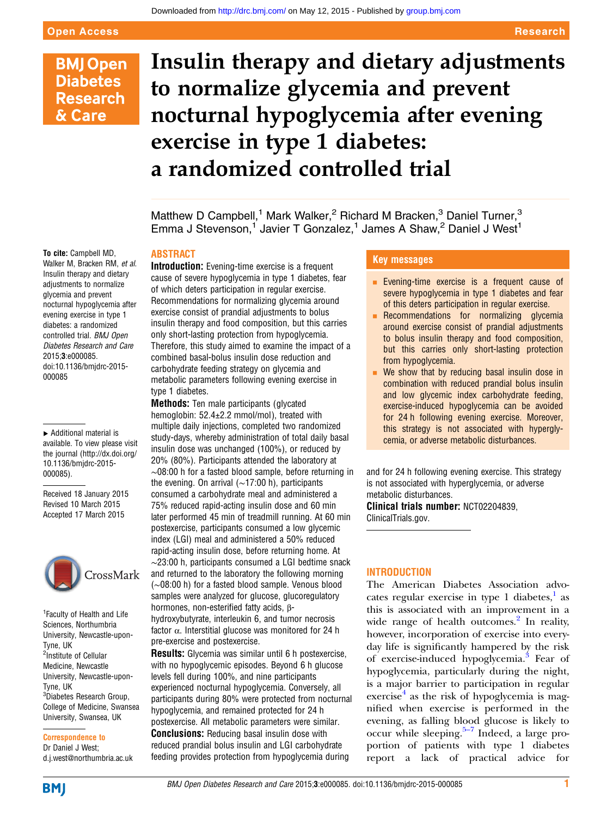# **BMJ Open Diabetes Research** & Care

# Insulin therapy and dietary adjustments to normalize glycemia and prevent nocturnal hypoglycemia after evening exercise in type 1 diabetes: a randomized controlled trial

Matthew D Campbell,<sup>1</sup> Mark Walker,<sup>2</sup> Richard M Bracken,<sup>3</sup> Daniel Turner,<sup>3</sup> Emma J Stevenson,<sup>1</sup> Javier T Gonzalez,<sup>1</sup> James A Shaw,<sup>2</sup> Daniel J West<sup>1</sup>

### ABSTRACT

To cite: Campbell MD, Walker M, Bracken RM, et al. Insulin therapy and dietary adjustments to normalize glycemia and prevent nocturnal hypoglycemia after evening exercise in type 1 diabetes: a randomized controlled trial. BMJ Open Diabetes Research and Care 2015;3:e000085. doi:10.1136/bmjdrc-2015- 000085

▸ Additional material is available. To view please visit the journal [\(http://dx.doi.org/](http://dx.doi.org/10.1136/bmjdrc-2015-000085) [10.1136/bmjdrc-2015-](http://dx.doi.org/10.1136/bmjdrc-2015-000085) [000085\)](http://dx.doi.org/10.1136/bmjdrc-2015-000085).

Received 18 January 2015 Revised 10 March 2015 Accepted 17 March 2015



<sup>1</sup> Faculty of Health and Life Sciences, Northumbria University, Newcastle-upon-Tyne, UK <sup>2</sup>Institute of Cellular Medicine, Newcastle University, Newcastle-upon-Tyne, UK <sup>3</sup>Diabetes Research Group, College of Medicine, Swansea University, Swansea, UK

Correspondence to Dr Daniel J West; d.j.west@northumbria.ac.uk Introduction: Evening-time exercise is a frequent cause of severe hypoglycemia in type 1 diabetes, fear of which deters participation in regular exercise. Recommendations for normalizing glycemia around exercise consist of prandial adjustments to bolus insulin therapy and food composition, but this carries only short-lasting protection from hypoglycemia. Therefore, this study aimed to examine the impact of a combined basal-bolus insulin dose reduction and carbohydrate feeding strategy on glycemia and metabolic parameters following evening exercise in type 1 diabetes.

**Methods:** Ten male participants (glycated hemoglobin: 52.4±2.2 mmol/mol), treated with multiple daily injections, completed two randomized study-days, whereby administration of total daily basal insulin dose was unchanged (100%), or reduced by 20% (80%). Participants attended the laboratory at ∼08:00 h for a fasted blood sample, before returning in the evening. On arrival (∼17:00 h), participants consumed a carbohydrate meal and administered a 75% reduced rapid-acting insulin dose and 60 min later performed 45 min of treadmill running. At 60 min postexercise, participants consumed a low glycemic index (LGI) meal and administered a 50% reduced rapid-acting insulin dose, before returning home. At ∼23:00 h, participants consumed a LGI bedtime snack and returned to the laboratory the following morning (∼08:00 h) for a fasted blood sample. Venous blood samples were analyzed for glucose, glucoregulatory hormones, non-esterified fatty acids, βhydroxybutyrate, interleukin 6, and tumor necrosis factor  $\alpha$ . Interstitial glucose was monitored for 24 h pre-exercise and postexercise.

Results: Glycemia was similar until 6 h postexercise, with no hypoglycemic episodes. Beyond 6 h glucose levels fell during 100%, and nine participants experienced nocturnal hypoglycemia. Conversely, all participants during 80% were protected from nocturnal hypoglycemia, and remained protected for 24 h postexercise. All metabolic parameters were similar. **Conclusions:** Reducing basal insulin dose with reduced prandial bolus insulin and LGI carbohydrate feeding provides protection from hypoglycemia during

## Key messages

- **Exening-time exercise is a frequent cause of** severe hypoglycemia in type 1 diabetes and fear of this deters participation in regular exercise.
- Recommendations for normalizing glycemia around exercise consist of prandial adjustments to bolus insulin therapy and food composition, but this carries only short-lasting protection from hypoglycemia.
- $\blacksquare$  We show that by reducing basal insulin dose in combination with reduced prandial bolus insulin and low glycemic index carbohydrate feeding, exercise-induced hypoglycemia can be avoided for 24 h following evening exercise. Moreover, this strategy is not associated with hyperglycemia, or adverse metabolic disturbances.

and for 24 h following evening exercise. This strategy is not associated with hyperglycemia, or adverse metabolic disturbances.

Clinical trials number: NCT02204839, ClinicalTrials.gov.

# INTRODUCTION

The American Diabetes Association advo-cates regular exercise in type [1](#page-8-0) diabetes, $<sup>1</sup>$  as</sup> this is associated with an improvement in a wide range of health outcomes.<sup>[2](#page-8-0)</sup> In reality, however, incorporation of exercise into everyday life is significantly hampered by the risk of exercise-induced hypoglycemia.[3](#page-8-0) Fear of hypoglycemia, particularly during the night, is a major barrier to participation in regular exercise $4$  as the risk of hypoglycemia is magnified when exercise is performed in the evening, as falling b[lood](#page-8-0) glucose is likely to occur while sleeping. $5-7$  Indeed, a large proportion of patients with type 1 diabetes report a lack of practical advice for

**BMJ**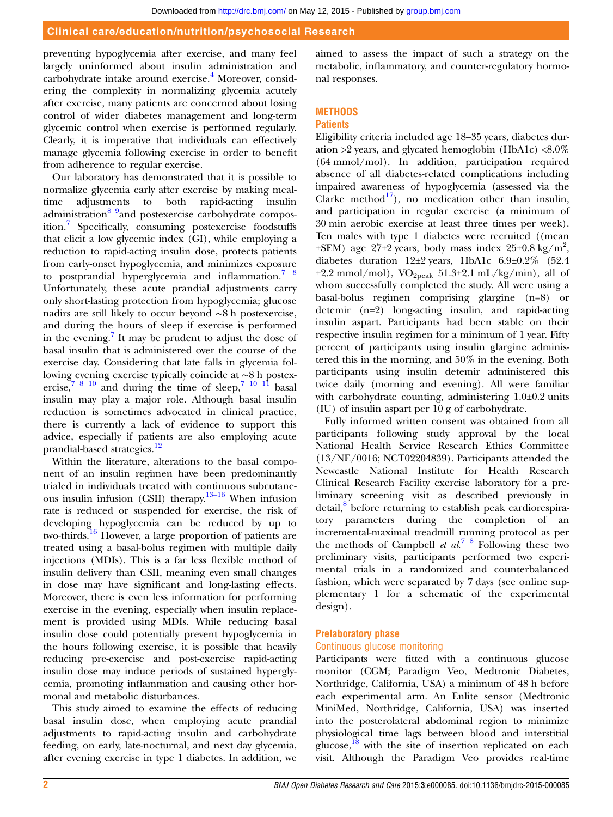#### Clinical care/education/nutrition/psychosocial Research

preventing hypoglycemia after exercise, and many feel largely uninformed about insulin administration and carbohydrate intake around exercise.<sup>[4](#page-8-0)</sup> Moreover, considering the complexity in normalizing glycemia acutely after exercise, many patients are concerned about losing control of wider diabetes management and long-term glycemic control when exercise is performed regularly. Clearly, it is imperative that individuals can effectively manage glycemia following exercise in order to benefit from adherence to regular exercise.

Our laboratory has demonstrated that it is possible to normalize glycemia early after exercise by making mealtime adjustments to both rapid-acting insulin administration<sup>8</sup> 9and postexercise carbohydrate composition.[7](#page-8-0) Specifically, consuming postexercise foodstuffs that elicit a low glycemic index (GI), while employing a reduction to rapid-acting insulin dose, protects patients from early-onset hypoglycemia, and minimizes exposure to postprandial hyperglycemia and inflammation.<sup>7</sup>  $\frac{8}{3}$ Unfortunately, these acute prandial adjustments carry only short-lasting protection from hypoglycemia; glucose nadirs are still likely to occur beyond ∼8 h postexercise, and during the hours of sleep if exercise is performed in the evening.<sup>[7](#page-8-0)</sup> It may be prudent to adjust the dose of basal insulin that is administered over the course of the exercise day. Considering that late falls in glycemia following evening exercise typically coincide at ∼8 h postexercise,  $78^{10}$  and during the time of sleep,  $7^{10}$  11 basal insulin may play a major role. Although basal insulin reduction is sometimes advocated in clinical practice, there is currently a lack of evidence to support this advice, especially if patients are also employing acute prandial-based strategies.<sup>[12](#page-8-0)</sup>

Within the literature, alterations to the basal component of an insulin regimen have been predominantly trialed in individuals treated with continuous subcutaneous insulin infusion (CSII) therapy. $13-16$  $13-16$  When infusion rate is reduced or suspended for exercise, the risk of developing hypoglycemia can be reduced by up to two-thirds.[16](#page-8-0) However, a large proportion of patients are treated using a basal-bolus regimen with multiple daily injections (MDIs). This is a far less flexible method of insulin delivery than CSII, meaning even small changes in dose may have significant and long-lasting effects. Moreover, there is even less information for performing exercise in the evening, especially when insulin replacement is provided using MDIs. While reducing basal insulin dose could potentially prevent hypoglycemia in the hours following exercise, it is possible that heavily reducing pre-exercise and post-exercise rapid-acting insulin dose may induce periods of sustained hyperglycemia, promoting inflammation and causing other hormonal and metabolic disturbances.

This study aimed to examine the effects of reducing basal insulin dose, when employing acute prandial adjustments to rapid-acting insulin and carbohydrate feeding, on early, late-nocturnal, and next day glycemia, after evening exercise in type 1 diabetes. In addition, we

aimed to assess the impact of such a strategy on the metabolic, inflammatory, and counter-regulatory hormonal responses.

# **METHODS**

#### **Patients**

Eligibility criteria included age 18–35 years, diabetes duration  $>2$  years, and glycated hemoglobin (HbA1c)  $<8.0\%$ (64 mmol/mol). In addition, participation required absence of all diabetes-related complications including impaired awareness of hypoglycemia (assessed via the Clarke method<sup>[17](#page-8-0)</sup>), no medication other than insulin, and participation in regular exercise (a minimum of 30 min aerobic exercise at least three times per week). Ten males with type 1 diabetes were recruited ((mean  $\pm$ SEM) age 27 $\pm$ 2 years, body mass index 25 $\pm$ 0.8 kg/m<sup>2</sup>, diabetes duration 12±2 years, HbA1c 6.9±0.2% (52.4  $\pm 2.2$  mmol/mol), VO<sub>2peak</sub> 51.3 $\pm 2.1$  mL/kg/min), all of whom successfully completed the study. All were using a basal-bolus regimen comprising glargine (n=8) or detemir (n=2) long-acting insulin, and rapid-acting insulin aspart. Participants had been stable on their respective insulin regimen for a minimum of 1 year. Fifty percent of participants using insulin glargine administered this in the morning, and 50% in the evening. Both participants using insulin detemir administered this twice daily (morning and evening). All were familiar with carbohydrate counting, administering 1.0±0.2 units (IU) of insulin aspart per 10 g of carbohydrate.

Fully informed written consent was obtained from all participants following study approval by the local National Health Service Research Ethics Committee (13/NE/0016; NCT02204839). Participants attended the Newcastle National Institute for Health Research Clinical Research Facility exercise laboratory for a preliminary screening visit as described previously in detail,<sup>[8](#page-8-0)</sup> before returning to establish peak cardiorespiratory parameters during the completion of an incremental-maximal treadmill running protocol as per the methods of Campbell et  $al^7$ <sup>8</sup> Following these two preliminary visits, participants performed two experimental trials in a randomized and counterbalanced fashion, which were separated by 7 days (see online supplementary 1 for a schematic of the experimental design).

#### Prelaboratory phase

#### Continuous glucose monitoring

Participants were fitted with a continuous glucose monitor (CGM; Paradigm Veo, Medtronic Diabetes, Northridge, California, USA) a minimum of 48 h before each experimental arm. An Enlite sensor (Medtronic MiniMed, Northridge, California, USA) was inserted into the posterolateral abdominal region to minimize physiological time lags between blood and interstitial glucose,<sup>[18](#page-8-0)</sup> with the site of insertion replicated on each visit. Although the Paradigm Veo provides real-time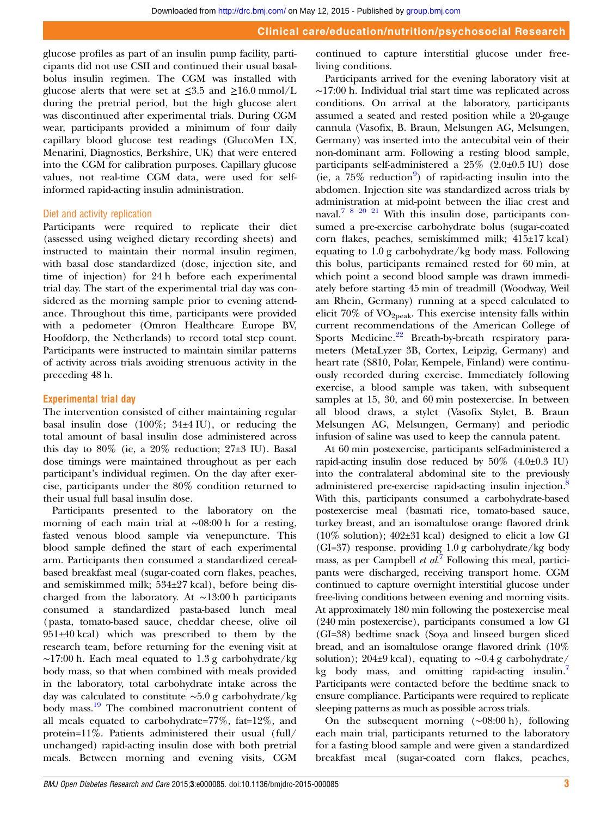glucose profiles as part of an insulin pump facility, participants did not use CSII and continued their usual basalbolus insulin regimen. The CGM was installed with glucose alerts that were set at  $\leq 3.5$  and  $\geq 16.0$  mmol/L during the pretrial period, but the high glucose alert was discontinued after experimental trials. During CGM wear, participants provided a minimum of four daily capillary blood glucose test readings (GlucoMen LX, Menarini, Diagnostics, Berkshire, UK) that were entered into the CGM for calibration purposes. Capillary glucose values, not real-time CGM data, were used for selfinformed rapid-acting insulin administration.

#### Diet and activity replication

Participants were required to replicate their diet (assessed using weighed dietary recording sheets) and instructed to maintain their normal insulin regimen, with basal dose standardized (dose, injection site, and time of injection) for 24 h before each experimental trial day. The start of the experimental trial day was considered as the morning sample prior to evening attendance. Throughout this time, participants were provided with a pedometer (Omron Healthcare Europe BV, Hoofdorp, the Netherlands) to record total step count. Participants were instructed to maintain similar patterns of activity across trials avoiding strenuous activity in the preceding 48 h.

#### Experimental trial day

The intervention consisted of either maintaining regular basal insulin dose (100%; 34±4 IU), or reducing the total amount of basal insulin dose administered across this day to  $80\%$  (ie, a  $20\%$  reduction;  $27\pm3$  IU). Basal dose timings were maintained throughout as per each participant's individual regimen. On the day after exercise, participants under the 80% condition returned to their usual full basal insulin dose.

Participants presented to the laboratory on the morning of each main trial at ∼08:00 h for a resting, fasted venous blood sample via venepuncture. This blood sample defined the start of each experimental arm. Participants then consumed a standardized cerealbased breakfast meal (sugar-coated corn flakes, peaches, and semiskimmed milk; 534±27 kcal), before being discharged from the laboratory. At ∼13:00 h participants consumed a standardized pasta-based lunch meal (pasta, tomato-based sauce, cheddar cheese, olive oil 951±40 kcal) which was prescribed to them by the research team, before returning for the evening visit at ∼17:00 h. Each meal equated to 1.3 g carbohydrate/kg body mass, so that when combined with meals provided in the laboratory, total carbohydrate intake across the day was calculated to constitute ∼5.0 g carbohydrate/kg body mass.<sup>[19](#page-8-0)</sup> The combined macronutrient content of all meals equated to carbohydrate=77%, fat=12%, and protein=11%. Patients administered their usual (full/ unchanged) rapid-acting insulin dose with both pretrial meals. Between morning and evening visits, CGM

continued to capture interstitial glucose under freeliving conditions.

Participants arrived for the evening laboratory visit at ∼17:00 h. Individual trial start time was replicated across conditions. On arrival at the laboratory, participants assumed a seated and rested position while a 20-gauge cannula (Vasofix, B. Braun, Melsungen AG, Melsungen, Germany) was inserted into the antecubital vein of their non-dominant arm. Following a resting blood sample, participants self-administered a 25% (2.0±0.5 IU) dose (ie, a  $75\%$  reduction<sup>[9](#page-8-0)</sup>) of rapid-acting insulin into the abdomen. Injection site was standardized across trials by administration at mid-point between the iliac crest and naval.[7 8 20 21](#page-8-0) With this insulin dose, participants consumed a pre-exercise carbohydrate bolus (sugar-coated corn flakes, peaches, semiskimmed milk; 415±17 kcal) equating to 1.0 g carbohydrate/kg body mass. Following this bolus, participants remained rested for 60 min, at which point a second blood sample was drawn immediately before starting 45 min of treadmill (Woodway, Weil am Rhein, Germany) running at a speed calculated to elicit  $70\%$  of VO<sub>2peak</sub>. This exercise intensity falls within current recommendations of the American College of Sports Medicine.<sup>[22](#page-8-0)</sup> Breath-by-breath respiratory parameters (MetaLyzer 3B, Cortex, Leipzig, Germany) and heart rate (S810, Polar, Kempele, Finland) were continuously recorded during exercise. Immediately following exercise, a blood sample was taken, with subsequent samples at 15, 30, and 60 min postexercise. In between all blood draws, a stylet (Vasofix Stylet, B. Braun Melsungen AG, Melsungen, Germany) and periodic infusion of saline was used to keep the cannula patent.

At 60 min postexercise, participants self-administered a rapid-acting insulin dose reduced by  $50\%$  (4.0±0.3 IU) into the contralateral abdominal site to the previously administered pre-exercise rapid-acting insulin injection.<sup>8</sup> With this, participants consumed a carbohydrate-based postexercise meal (basmati rice, tomato-based sauce, turkey breast, and an isomaltulose orange flavored drink (10% solution); 402±31 kcal) designed to elicit a low GI (GI=37) response, providing 1.0 g carbohydrate/kg body mass, as per Campbell et  $al^7$  $al^7$  Following this meal, participants were discharged, receiving transport home. CGM continued to capture overnight interstitial glucose under free-living conditions between evening and morning visits. At approximately 180 min following the postexercise meal (240 min postexercise), participants consumed a low GI (GI=38) bedtime snack (Soya and linseed burgen sliced bread, and an isomaltulose orange flavored drink (10% solution); 204±9 kcal), equating to ∼0.4 g carbohydrate/ kg body mass, and omitting rapid-acting insulin.<sup>7</sup> Participants were contacted before the bedtime snack to ensure compliance. Participants were required to replicate sleeping patterns as much as possible across trials.

On the subsequent morning (∼08:00 h), following each main trial, participants returned to the laboratory for a fasting blood sample and were given a standardized breakfast meal (sugar-coated corn flakes, peaches,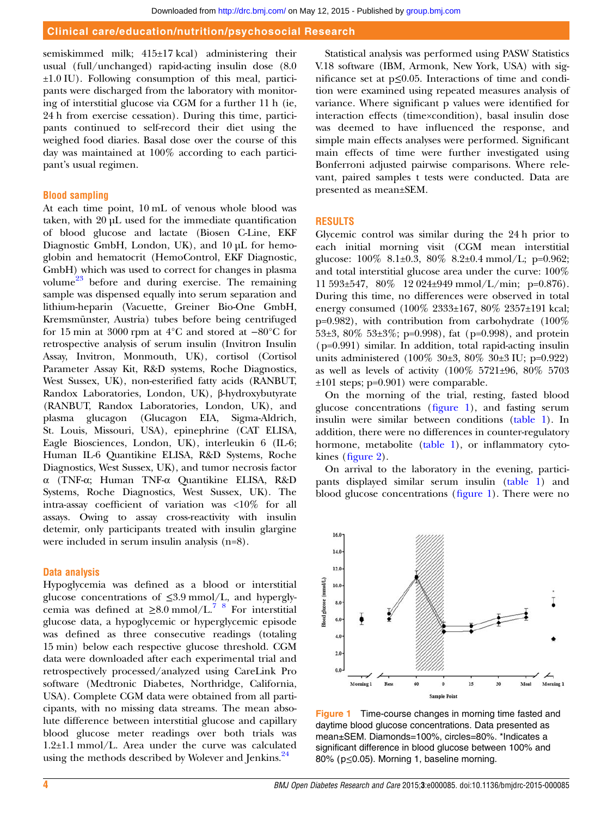<span id="page-4-0"></span>semiskimmed milk; 415±17 kcal) administering their usual (full/unchanged) rapid-acting insulin dose (8.0 ±1.0 IU). Following consumption of this meal, participants were discharged from the laboratory with monitoring of interstitial glucose via CGM for a further 11 h (ie, 24 h from exercise cessation). During this time, participants continued to self-record their diet using the weighed food diaries. Basal dose over the course of this day was maintained at 100% according to each participant's usual regimen.

#### Blood sampling

At each time point, 10 mL of venous whole blood was taken, with 20 µL used for the immediate quantification of blood glucose and lactate (Biosen C-Line, EKF Diagnostic GmbH, London, UK), and 10 µL for hemoglobin and hematocrit (HemoControl, EKF Diagnostic, GmbH) which was used to correct for changes in plasma volume<sup>23</sup> before and during exercise. The remaining sample was dispensed equally into serum separation and lithium-heparin (Vacuette, Greiner Bio-One GmbH, Kremsmünster, Austria) tubes before being centrifuged for 15 min at 3000 rpm at 4°C and stored at −80°C for retrospective analysis of serum insulin (Invitron Insulin Assay, Invitron, Monmouth, UK), cortisol (Cortisol Parameter Assay Kit, R&D systems, Roche Diagnostics, West Sussex, UK), non-esterified fatty acids (RANBUT, Randox Laboratories, London, UK), β-hydroxybutyrate (RANBUT, Randox Laboratories, London, UK), and plasma glucagon (Glucagon EIA, Sigma-Aldrich, St. Louis, Missouri, USA), epinephrine (CAT ELISA, Eagle Biosciences, London, UK), interleukin 6 (IL-6; Human IL-6 Quantikine ELISA, R&D Systems, Roche Diagnostics, West Sussex, UK), and tumor necrosis factor α (TNF-α; Human TNF-α Quantikine ELISA, R&D Systems, Roche Diagnostics, West Sussex, UK). The intra-assay coefficient of variation was <10% for all assays. Owing to assay cross-reactivity with insulin detemir, only participants treated with insulin glargine were included in serum insulin analysis (n=8).

#### Data analysis

Hypoglycemia was defined as a blood or interstitial glucose concentrations of ≤3.9 mmol/L, and hyperglycemia was defined at  $\geq 8.0$  mmol/L.<sup>7</sup> <sup>8</sup> For interstitial glucose data, a hypoglycemic or hyperglycemic episode was defined as three consecutive readings (totaling 15 min) below each respective glucose threshold. CGM data were downloaded after each experimental trial and retrospectively processed/analyzed using CareLink Pro software (Medtronic Diabetes, Northridge, California, USA). Complete CGM data were obtained from all participants, with no missing data streams. The mean absolute difference between interstitial glucose and capillary blood glucose meter readings over both trials was 1.2±1.1 mmol/L. Area under the curve was calculated using the methods described by Wolever and Jenkins.<sup>[24](#page-8-0)</sup>

Statistical analysis was performed using PASW Statistics V.18 software (IBM, Armonk, New York, USA) with significance set at p≤0.05. Interactions of time and condition were examined using repeated measures analysis of variance. Where significant p values were identified for interaction effects (time×condition), basal insulin dose was deemed to have influenced the response, and simple main effects analyses were performed. Significant main effects of time were further investigated using Bonferroni adjusted pairwise comparisons. Where relevant, paired samples t tests were conducted. Data are presented as mean±SEM.

#### RESULTS

Glycemic control was similar during the 24 h prior to each initial morning visit (CGM mean interstitial glucose: 100% 8.1±0.3, 80% 8.2±0.4 mmol/L; p=0.962; and total interstitial glucose area under the curve: 100% 11 593±547, 80% 12 024±949 mmol/L/min; p=0.876). During this time, no differences were observed in total energy consumed (100% 2333±167, 80% 2357±191 kcal;  $p=0.982$ ), with contribution from carbohydrate (100%) 53 $\pm$ 3, 80% 53 $\pm$ 3%; p=0.998), fat (p=0.998), and protein (p=0.991) similar. In addition, total rapid-acting insulin units administered (100% 30±3, 80% 30±3 IU; p=0.922) as well as levels of activity (100% 5721±96, 80% 5703 ±101 steps; p=0.901) were comparable.

On the morning of the trial, resting, fasted blood glucose concentrations (figure 1), and fasting serum insulin were similar between conditions [\(table 1](#page-5-0)). In addition, there were no differences in counter-regulatory hormone, metabolite [\(table 1\)](#page-5-0), or inflammatory cytokines (fi[gure 2\)](#page-6-0).

On arrival to the laboratory in the evening, participants displayed similar serum insulin ([table 1\)](#page-5-0) and blood glucose concentrations (figure 1). There were no



Figure 1 Time-course changes in morning time fasted and daytime blood glucose concentrations. Data presented as mean±SEM. Diamonds=100%, circles=80%. \*Indicates a significant difference in blood glucose between 100% and 80% (p≤0.05). Morning 1, baseline morning.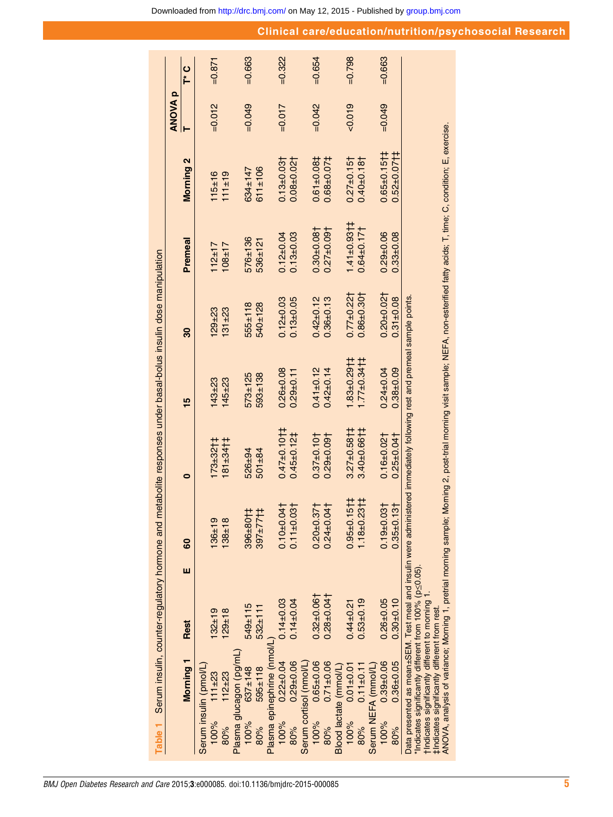|        |                                                                                              | Table 1 Serum insulin, counter-regulatory hormone and                                                                                                                                                 |   |                                  |                               | metabolite responses under basal-bolus insulin dose manipulation                                                                                                                  |                  |                              |                              |                |           |
|--------|----------------------------------------------------------------------------------------------|-------------------------------------------------------------------------------------------------------------------------------------------------------------------------------------------------------|---|----------------------------------|-------------------------------|-----------------------------------------------------------------------------------------------------------------------------------------------------------------------------------|------------------|------------------------------|------------------------------|----------------|-----------|
|        |                                                                                              |                                                                                                                                                                                                       |   |                                  |                               |                                                                                                                                                                                   |                  |                              |                              | <b>ANOVA p</b> |           |
|        | Morning <sub>1</sub>                                                                         | <b>Rest</b>                                                                                                                                                                                           | ш | 8                                | 0                             | 15                                                                                                                                                                                | 30               | Premeal                      | <b>Morning 2</b>             |                | ပ<br>1    |
|        | Serum insulin (pmol/L)                                                                       |                                                                                                                                                                                                       |   |                                  |                               |                                                                                                                                                                                   |                  |                              |                              |                |           |
| 100%   | $111 + 23$                                                                                   | $32 + 19$                                                                                                                                                                                             |   | $136 + 19$                       | $173 + 3211$                  | $143 + 23$                                                                                                                                                                        | $29 + 23$        | $112 + 17$                   | $115 + 16$                   | $=0.012$       | $-0.871$  |
| 80%    | $112 + 23$                                                                                   | $129 + 18$                                                                                                                                                                                            |   | $138 + 18$                       | $181 + 341$                   | $145 + 23$                                                                                                                                                                        | $131 + 23$       | $108 + 17$                   | 111±19                       |                |           |
|        | Plasma glucagon (pg/mL)                                                                      |                                                                                                                                                                                                       |   |                                  |                               |                                                                                                                                                                                   |                  |                              |                              |                |           |
| 100%   | $637 \pm 148$                                                                                | 549±115                                                                                                                                                                                               |   | 1108+965                         | 526±94                        | 573±125                                                                                                                                                                           | $555 \pm 118$    | 576±136                      | 634±147                      | $-0.049$       | $=0.663$  |
| 80%    | $595 \pm 118$                                                                                | $532 \pm 111$                                                                                                                                                                                         |   | 1177±708                         | $501 + 84$                    | 593±138                                                                                                                                                                           | 540±128          | 536±121                      | $611 \pm 106$                |                |           |
|        | Plasma epinephrine (nmol/l                                                                   |                                                                                                                                                                                                       |   |                                  |                               |                                                                                                                                                                                   |                  |                              |                              |                |           |
| 100%   | $0.22 \pm 0.04$                                                                              | $0.14 + 0.03$                                                                                                                                                                                         |   | $0.10 + 0.04$                    | $0.47 + 0.10 + 1$             | $0.26 + 0.08$                                                                                                                                                                     | $0.12_{\pm}0.03$ | $0.12 \pm 0.04$              | $0.13 + 0.03$                | $=0.017$       | $= 0.322$ |
| 80%    | $0.29 + 0.06$                                                                                | $0.14 \pm 0.04$                                                                                                                                                                                       |   | $0.11 \pm 0.03$                  | $0.45 + 0.121$                | $0.29 + 0.11$                                                                                                                                                                     | $0.13 + 0.05$    | $0.13 + 0.03$                | $0.08 + 0.02$                |                |           |
|        | Serum cortisol (nmol/L)                                                                      |                                                                                                                                                                                                       |   |                                  |                               |                                                                                                                                                                                   |                  |                              |                              |                |           |
| 100%   | $0.65 \pm 0.06$                                                                              | $0.32 + 0.06$                                                                                                                                                                                         |   | $0.20 + 0.37$                    | $0.37 \pm 0.10$               | $0.41 + 0.12$                                                                                                                                                                     | $0.42 + 0.12$    | $0.30 + 0.08$                | $0.61 + 0.081$               | $=0.042$       | $=0.654$  |
| 80%    | $0.71 \pm 0.06$                                                                              | $0.28 + 0.04$                                                                                                                                                                                         |   | $0.24 \pm 0.04$                  | $0.29 + 0.09$                 | $0.42 \pm 0.14$                                                                                                                                                                   | $0.36 + 0.13$    | $0.27 + 0.09$                | $0.68 + 0.071$               |                |           |
|        | Blood lactate (mmol/L)                                                                       |                                                                                                                                                                                                       |   |                                  |                               |                                                                                                                                                                                   |                  |                              |                              |                |           |
| 100%   | $0.01 \pm 0.01$                                                                              | $0.44 + 0.21$                                                                                                                                                                                         |   | $151\frac{1}{4}$<br>$0.95 + 0.7$ | $3.27 \pm 0.58$ †             | $1.83 \pm 0.29$                                                                                                                                                                   | $0.77 + 0.22$    | $1.41 \pm 0.93$ <sub>1</sub> | $0.27 \pm 0.15$              | $-0.019$       | $=0.798$  |
| $80\%$ | $0.11 \pm 0.11$                                                                              | $0.53\pm0.19$                                                                                                                                                                                         |   | $1.18 + 0.23 + 1$                | $3.40 \pm 0.66$ <sub>11</sub> | $1.77 \pm 0.34$ †                                                                                                                                                                 | $0.86 \pm 0.30$  | $0.64 \pm 0.17$              | $0.40 + 0.18$                |                |           |
|        | Serum NEFA (mmol/L)                                                                          |                                                                                                                                                                                                       |   |                                  |                               |                                                                                                                                                                                   |                  |                              |                              |                |           |
| 100%   | $0.39 + 0.06$                                                                                | $0.26 + 0.05$                                                                                                                                                                                         |   | $0.19 + 0.03$                    | $0.16 + 0.02$                 | $0.24 \pm 0.04$                                                                                                                                                                   | $0.20 + 0.021$   | $0.29 + 0.06$                | $0.65 \pm 0.15$ <sub>1</sub> | $=0.049$       | $=0.663$  |
| 80%    | $0.36 + 0.05$                                                                                | $0.30 + 0.10$                                                                                                                                                                                         |   | $13+$<br>$0.35 + 0.$             | $0.25 + 0.04$                 | $0.38 + 0.09$                                                                                                                                                                     | $0.31 + 0.08$    | $0.33 + 0.08$                | $0.52 \pm 0.07$ † ‡          |                |           |
|        | tindicates significantly different to moming<br>#Indicates significantly different from rest | Data presented as mean±SEM. Test meal and insulin were admin<br>ANOVA, analysis of variance; Morning 1, pretrial morning sample;<br>*Indicates significantly different from $100\%$ ( $p \leq 0.05$ ) |   |                                  |                               | Morning 2, post-trial morning visit sample; NEFA, non-esterified fatty acids; T, time; C, condition; E, exercise.<br>istered immediately following rest and premeal sample points |                  |                              |                              |                |           |

<span id="page-5-0"></span>٠

Clinical care/education/nutrition/psychosocial Research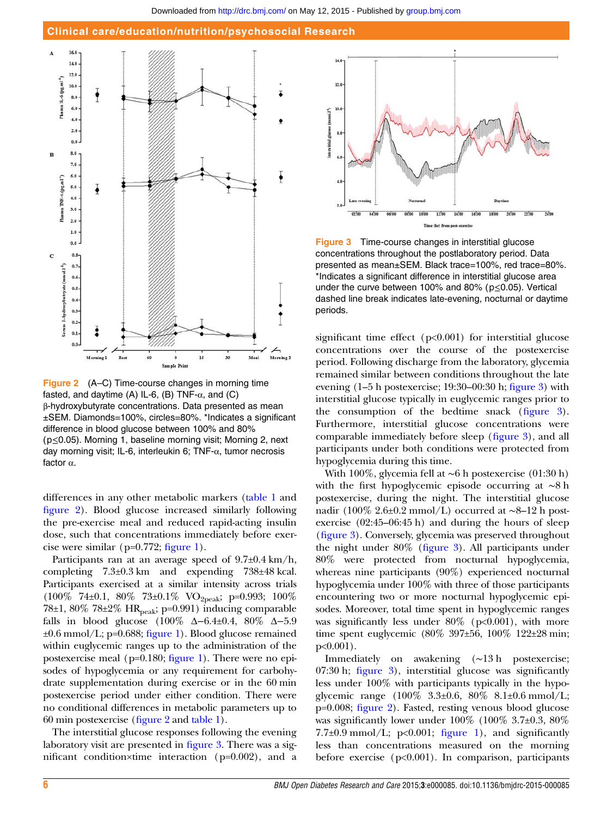#### Clinical care/education/nutrition/psychosocial Research

<span id="page-6-0"></span>

Figure 2 (A–C) Time-course changes in morning time fasted, and daytime (A) IL-6, (B) TNF- $\alpha$ , and (C) β-hydroxybutyrate concentrations. Data presented as mean ±SEM. Diamonds=100%, circles=80%. \*Indicates a significant difference in blood glucose between 100% and 80% (p≤0.05). Morning 1, baseline morning visit; Morning 2, next day morning visit; IL-6, interleukin 6; TNF-α, tumor necrosis factor α.

differences in any other metabolic markers ([table 1](#page-5-0) and figure 2). Blood glucose increased similarly following the pre-exercise meal and reduced rapid-acting insulin dose, such that concentrations immediately before exercise were similar ( $p=0.772$ ; fi[gure 1\)](#page-4-0).

Participants ran at an average speed of  $9.7\pm0.4$  km/h, completing 7.3±0.3 km and expending 738±48 kcal. Participants exercised at a similar intensity across trials (100% 74±0.1, 80% 73±0.1% VO2peak; p=0.993; 100% 78 $\pm$ 1, 80% 78 $\pm$ 2% HR<sub>peak</sub>; p=0.991) inducing comparable falls in blood glucose (100% Δ−6.4±0.4, 80% Δ−5.9  $\pm 0.6$  mmol/L; p=0.688; fi[gure 1](#page-4-0)). Blood glucose remained within euglycemic ranges up to the administration of the postexercise meal (p=0.180; fi[gure 1](#page-4-0)). There were no episodes of hypoglycemia or any requirement for carbohydrate supplementation during exercise or in the 60 min postexercise period under either condition. There were no conditional differences in metabolic parameters up to 60 min postexercise (figure 2 and [table 1](#page-5-0)).

The interstitial glucose responses following the evening laboratory visit are presented in figure 3. There was a significant condition×time interaction (p=0.002), and a



Figure 3 Time-course changes in interstitial glucose concentrations throughout the postlaboratory period. Data presented as mean±SEM. Black trace=100%, red trace=80%. \*Indicates a significant difference in interstitial glucose area under the curve between 100% and 80% ( $p \le 0.05$ ). Vertical dashed line break indicates late-evening, nocturnal or daytime periods.

significant time effect (p<0.001) for interstitial glucose concentrations over the course of the postexercise period. Following discharge from the laboratory, glycemia remained similar between conditions throughout the late evening (1–5 h postexercise; 19:30–00:30 h; figure 3) with interstitial glucose typically in euglycemic ranges prior to the consumption of the bedtime snack (figure 3). Furthermore, interstitial glucose concentrations were comparable immediately before sleep (figure 3), and all participants under both conditions were protected from hypoglycemia during this time.

With 100%, glycemia fell at ∼6 h postexercise (01:30 h) with the first hypoglycemic episode occurring at ∼8 h postexercise, during the night. The interstitial glucose nadir (100% 2.6±0.2 mmol/L) occurred at ∼8–12 h postexercise (02:45–06:45 h) and during the hours of sleep (figure 3). Conversely, glycemia was preserved throughout the night under 80% (figure 3). All participants under 80% were protected from nocturnal hypoglycemia, whereas nine participants (90%) experienced nocturnal hypoglycemia under 100% with three of those participants encountering two or more nocturnal hypoglycemic episodes. Moreover, total time spent in hypoglycemic ranges was significantly less under  $80\%$  (p<0.001), with more time spent euglycemic (80% 397±56, 100% 122±28 min; p<0.001).

Immediately on awakening (∼13 h postexercise; 07:30 h; figure 3), interstitial glucose was significantly less under 100% with participants typically in the hypoglycemic range (100% 3.3±0.6, 80% 8.1±0.6 mmol/L; p=0.008; figure 2). Fasted, resting venous blood glucose was significantly lower under  $100\%$  ( $100\%$  3.7 $\pm$ 0.3,  $80\%$ )  $7.7\pm0.9$  mmol/L; p<0.001; fi[gure 1\)](#page-4-0), and significantly less than concentrations measured on the morning before exercise  $(p<0.001)$ . In comparison, participants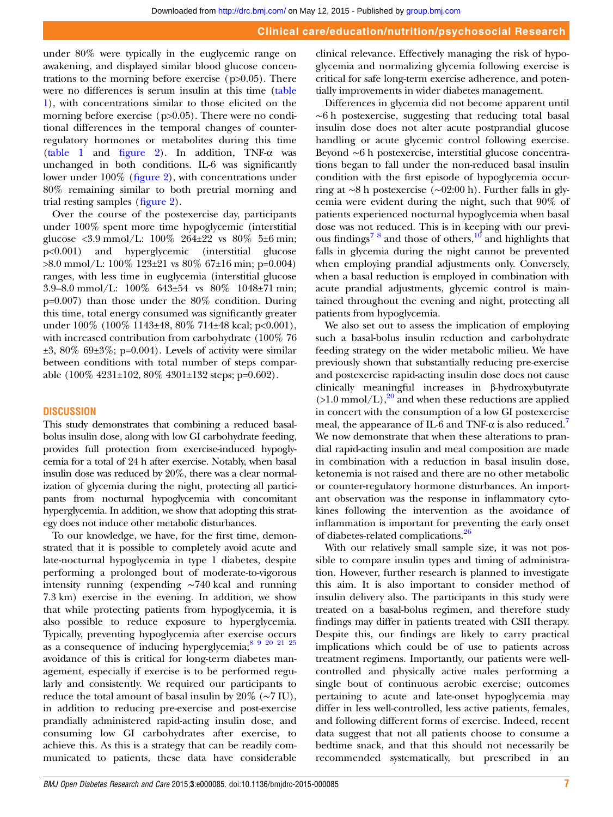under 80% were typically in the euglycemic range on awakening, and displayed similar blood glucose concentrations to the morning before exercise  $(p>0.05)$ . There were no differences is serum insulin at this time [\(table](#page-5-0) [1\)](#page-5-0), with concentrations similar to those elicited on the morning before exercise (p>0.05). There were no conditional differences in the temporal changes of counterregulatory hormones or metabolites during this time [\(table 1](#page-5-0) and fi[gure 2](#page-6-0)). In addition, TNF-α was unchanged in both conditions. IL-6 was significantly lower under 100% (fi[gure 2\)](#page-6-0), with concentrations under 80% remaining similar to both pretrial morning and trial resting samples (fi[gure 2\)](#page-6-0).

Over the course of the postexercise day, participants under 100% spent more time hypoglycemic (interstitial glucose <3.9 mmol/L:  $100\%$  264 $\pm$ 22 vs 80% 5 $\pm$ 6 min; p<0.001) and hyperglycemic (interstitial glucose >8.0 mmol/L: 100% 123±21 vs 80% 67±16 min; p=0.004) ranges, with less time in euglycemia (interstitial glucose 3.9–8.0 mmol/L: 100% 643±54 vs 80% 1048±71 min; p=0.007) than those under the 80% condition. During this time, total energy consumed was significantly greater under 100% (100% 1143±48, 80% 714±48 kcal; p<0.001), with increased contribution from carbohydrate (100% 76  $\pm 3$ , 80% 69 $\pm 3\%$ ; p=0.004). Levels of activity were similar between conditions with total number of steps comparable (100% 4231±102, 80% 4301±132 steps; p=0.602).

#### **DISCUSSION**

This study demonstrates that combining a reduced basalbolus insulin dose, along with low GI carbohydrate feeding, provides full protection from exercise-induced hypoglycemia for a total of 24 h after exercise. Notably, when basal insulin dose was reduced by 20%, there was a clear normalization of glycemia during the night, protecting all participants from nocturnal hypoglycemia with concomitant hyperglycemia. In addition, we show that adopting this strategy does not induce other metabolic disturbances.

To our knowledge, we have, for the first time, demonstrated that it is possible to completely avoid acute and late-nocturnal hypoglycemia in type 1 diabetes, despite performing a prolonged bout of moderate-to-vigorous intensity running (expending ∼740 kcal and running 7.3 km) exercise in the evening. In addition, we show that while protecting patients from hypoglycemia, it is also possible to reduce exposure to hyperglycemia. Typically, preventing hypoglycemia after exercise occurs as a consequence of inducing hyperglycemia;<sup>8 9 20 21 25</sup> avoidance of this is critical for long-term diabetes management, especially if exercise is to be performed regularly and consistently. We required our participants to reduce the total amount of basal insulin by 20% (∼7 IU), in addition to reducing pre-exercise and post-exercise prandially administered rapid-acting insulin dose, and consuming low GI carbohydrates after exercise, to achieve this. As this is a strategy that can be readily communicated to patients, these data have considerable

clinical relevance. Effectively managing the risk of hypoglycemia and normalizing glycemia following exercise is critical for safe long-term exercise adherence, and potentially improvements in wider diabetes management.

Differences in glycemia did not become apparent until ∼6 h postexercise, suggesting that reducing total basal insulin dose does not alter acute postprandial glucose handling or acute glycemic control following exercise. Beyond ∼6 h postexercise, interstitial glucose concentrations began to fall under the non-reduced basal insulin condition with the first episode of hypoglycemia occurring at ∼8 h postexercise (∼02:00 h). Further falls in glycemia were evident during the night, such that 90% of patients experienced nocturnal hypoglycemia when basal dose was not reduced. This is in keeping with our previ-ous findings<sup>78</sup> and those of others,<sup>[10](#page-8-0)</sup> and highlights that falls in glycemia during the night cannot be prevented when employing prandial adjustments only. Conversely, when a basal reduction is employed in combination with acute prandial adjustments, glycemic control is maintained throughout the evening and night, protecting all patients from hypoglycemia.

We also set out to assess the implication of employing such a basal-bolus insulin reduction and carbohydrate feeding strategy on the wider metabolic milieu. We have previously shown that substantially reducing pre-exercise and postexercise rapid-acting insulin dose does not cause clinically meaningful increases in β-hydroxybutyrate  $(>1.0 \text{ mmol/L})$ ,<sup>[20](#page-8-0)</sup> and when these reductions are applied in concert with the consumption of a low GI postexercise meal, the appearance of IL-6 and TNF- $\alpha$  is also reduced.<sup>[7](#page-8-0)</sup> We now demonstrate that when these alterations to prandial rapid-acting insulin and meal composition are made in combination with a reduction in basal insulin dose, ketonemia is not raised and there are no other metabolic or counter-regulatory hormone disturbances. An important observation was the response in inflammatory cytokines following the intervention as the avoidance of inflammation is important for preventing the early onset of diabetes-related complications.<sup>[26](#page-8-0)</sup>

With our relatively small sample size, it was not possible to compare insulin types and timing of administration. However, further research is planned to investigate this aim. It is also important to consider method of insulin delivery also. The participants in this study were treated on a basal-bolus regimen, and therefore study findings may differ in patients treated with CSII therapy. Despite this, our findings are likely to carry practical implications which could be of use to patients across treatment regimens. Importantly, our patients were wellcontrolled and physically active males performing a single bout of continuous aerobic exercise; outcomes pertaining to acute and late-onset hypoglycemia may differ in less well-controlled, less active patients, females, and following different forms of exercise. Indeed, recent data suggest that not all patients choose to consume a bedtime snack, and that this should not necessarily be recommended systematically, but prescribed in an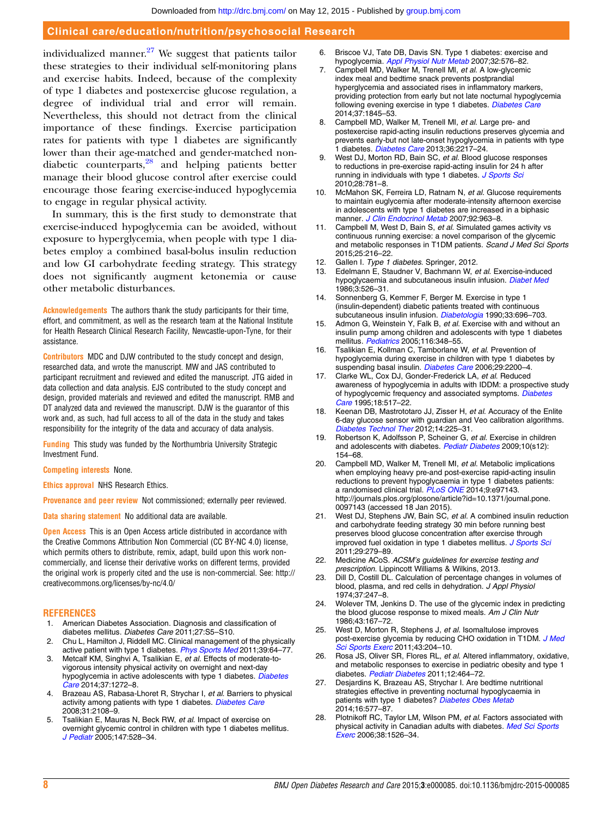#### <span id="page-8-0"></span>Clinical care/education/nutrition/psychosocial Research

individualized manner. $27$  We suggest that patients tailor these strategies to their individual self-monitoring plans and exercise habits. Indeed, because of the complexity of type 1 diabetes and postexercise glucose regulation, a degree of individual trial and error will remain. Nevertheless, this should not detract from the clinical importance of these findings. Exercise participation rates for patients with type 1 diabetes are significantly lower than their age-matched and gender-matched nondiabetic counterparts, $^{28}$  and helping patients better manage their blood glucose control after exercise could encourage those fearing exercise-induced hypoglycemia to engage in regular physical activity.

In summary, this is the first study to demonstrate that exercise-induced hypoglycemia can be avoided, without exposure to hyperglycemia, when people with type 1 diabetes employ a combined basal-bolus insulin reduction and low GI carbohydrate feeding strategy. This strategy does not significantly augment ketonemia or cause other metabolic disturbances.

Acknowledgements The authors thank the study participants for their time, effort, and commitment, as well as the research team at the National Institute for Health Research Clinical Research Facility, Newcastle-upon-Tyne, for their assistance.

Contributors MDC and DJW contributed to the study concept and design, researched data, and wrote the manuscript. MW and JAS contributed to participant recruitment and reviewed and edited the manuscript. JTG aided in data collection and data analysis. EJS contributed to the study concept and design, provided materials and reviewed and edited the manuscript. RMB and DT analyzed data and reviewed the manuscript. DJW is the guarantor of this work and, as such, had full access to all of the data in the study and takes responsibility for the integrity of the data and accuracy of data analysis.

Funding This study was funded by the Northumbria University Strategic Investment Fund.

Competing interests None.

Ethics approval NHS Research Ethics.

Provenance and peer review Not commissioned; externally peer reviewed.

Data sharing statement No additional data are available.

**Open Access** This is an Open Access article distributed in accordance with the Creative Commons Attribution Non Commercial (CC BY-NC 4.0) license, which permits others to distribute, remix, adapt, build upon this work noncommercially, and license their derivative works on different terms, provided the original work is properly cited and the use is non-commercial. See: [http://](http://creativecommons.org/licenses/by-nc/4.0/) [creativecommons.org/licenses/by-nc/4.0/](http://creativecommons.org/licenses/by-nc/4.0/)

#### **REFERENCES**

- 1. American Diabetes Association. Diagnosis and classification of diabetes mellitus. Diabetes Care 2011;27:S5-S10.
- 2. Chu L, Hamilton J, Riddell MC. Clinical management of the physically active patient with type 1 diabetes. [Phys Sports Med](http://dx.doi.org/10.3810/psm.2011.05.1896) 2011;39:64-77.
- 3. Metcalf KM, Singhvi A, Tsalikian E, et al. Effects of moderate-tovigorous intensity physical activity on overnight and next-day hypoglycemia in active adolescents with type 1 diabetes. [Diabetes](http://dx.doi.org/10.2337/dc13-1973) [Care](http://dx.doi.org/10.2337/dc13-1973) 2014;37:1272-8.
- 4. Brazeau AS, Rabasa-Lhoret R, Strychar I, et al. Barriers to physical activity among patients with type 1 diabetes. [Diabetes Care](http://dx.doi.org/10.2337/dc08-0720) 2008;31:2108–9.
- 5. Tsalikian E, Mauras N, Beck RW, et al. Impact of exercise on overnight glycemic control in children with type 1 diabetes mellitus. [J Pediatr](http://dx.doi.org/10.1016/j.jpeds.2005.04.065) 2005;147:528–34.
- 6. Briscoe VJ, Tate DB, Davis SN. Type 1 diabetes: exercise and hypoglycemia. [Appl Physiol Nutr Metab](http://dx.doi.org/10.1139/H07-025) 2007;32:576-82.
- 7. Campbell MD, Walker M, Trenell MI, et al. A low-glycemic index meal and bedtime snack prevents postprandial hyperglycemia and associated rises in inflammatory markers, providing protection from early but not late nocturnal hypoglycemia following evening exercise in type 1 diabetes. [Diabetes Care](http://dx.doi.org/10.2337/dc14-0186) 2014;37:1845–53.
- 8. Campbell MD, Walker M, Trenell MI, et al. Large pre- and postexercise rapid-acting insulin reductions preserves glycemia and prevents early-but not late-onset hypoglycemia in patients with type 1 diabetes. [Diabetes Care](http://dx.doi.org/10.2337/dc12-2467) 2013;36:2217-24.
- West DJ, Morton RD, Bain SC, et al. Blood glucose responses to reductions in pre-exercise rapid-acting insulin for 24 h after running in individuals with type 1 diabetes. [J Sports Sci](http://dx.doi.org/10.1080/02640411003734093) 2010;28:781–8.
- 10. McMahon SK, Ferreira LD, Ratnam N, et al. Glucose requirements to maintain euglycemia after moderate-intensity afternoon exercise in adolescents with type 1 diabetes are increased in a biphasic manner. [J Clin Endocrinol Metab](http://dx.doi.org/10.1210/jc.2006-2263) 2007;92:963–8.
- 11. Campbell M, West D, Bain S, et al. Simulated games activity vs continuous running exercise: a novel comparison of the glycemic and metabolic responses in T1DM patients. Scand J Med Sci Sports 2015;25:216–22.
- 12. Gallen I. Type 1 diabetes. Springer, 2012.<br>13. Edelmann E. Staudner V. Bachmann W. 6
- Edelmann E, Staudner V, Bachmann W, et al. Exercise-induced hypoglycaemia and subcutaneous insulin infusion. [Diabet Med](http://dx.doi.org/10.1111/j.1464-5491.1986.tb00808.x) 1986;3:526–31.
- 14. Sonnenberg G, Kemmer F, Berger M. Exercise in type 1 (insulin-dependent) diabetic patients treated with continuous subcutaneous insulin infusion. [Diabetologia](http://dx.doi.org/10.1007/BF00400572) 1990;33:696-703.
- 15. Admon G, Weinstein Y, Falk B, et al. Exercise with and without an insulin pump among children and adolescents with type 1 diabetes mellitus. [Pediatrics](http://dx.doi.org/10.1542/peds.2004-2428) 2005;116:348-55.
- 16. Tsalikian E, Kollman C, Tamborlane W, et al. Prevention of hypoglycemia during exercise in children with type 1 diabetes by suspending basal insulin. [Diabetes Care](http://dx.doi.org/10.2337/dc06-0495) 2006;29:2200-4.
- 17. Clarke WL, Cox DJ, Gonder-Frederick LA, et al. Reduced awareness of hypoglycemia in adults with IDDM: a prospective study of hypoglycemic frequency and associated symptoms. [Diabetes](http://dx.doi.org/10.2337/diacare.18.4.517) [Care](http://dx.doi.org/10.2337/diacare.18.4.517) 1995;18:517–22.
- Keenan DB, Mastrototaro JJ, Zisser H, et al. Accuracy of the Enlite 6-day glucose sensor with guardian and Veo calibration algorithms. [Diabetes Technol Ther](http://dx.doi.org/10.1089/dia.2011.0199) 2012;14:225-31.
- 19. Robertson K, Adolfsson P, Scheiner G, et al. Exercise in children and adolescents with diabetes. [Pediatr Diabetes](http://dx.doi.org/10.1111/j.1399-5448.2009.00567.x) 2009;10(s12): 154–68.
- 20. Campbell MD, Walker M, Trenell MI, et al. Metabolic implications when employing heavy pre-and post-exercise rapid-acting insulin reductions to prevent hypoglycaemia in type 1 diabetes patients: a randomised clinical trial. [PLoS ONE](http://dx.doi.org/10.1371/journal.pone.0097143) 2014;9:e97143. [http://journals.plos.org/plosone/article?id=10.1371/journal.pone.](http://journals.plos.org/plosone/article?id=10.1371/journal.pone.0097143) [0097143](http://journals.plos.org/plosone/article?id=10.1371/journal.pone.0097143) (accessed 18 Jan 2015).
- 21. West DJ, Stephens JW, Bain SC, et al. A combined insulin reduction and carbohydrate feeding strategy 30 min before running best preserves blood glucose concentration after exercise through improved fuel oxidation in type 1 diabetes mellitus. [J Sports Sci](http://dx.doi.org/10.1080/02640414.2010.531753) 2011;29:279–89.
- 22. Medicine ACoS. ACSM's guidelines for exercise testing and prescription. Lippincott Williams & Wilkins, 2013.
- 23. Dill D, Costill DL. Calculation of percentage changes in volumes of blood, plasma, and red cells in dehydration. J Appl Physiol 1974;37:247–8.
- 24. Wolever TM, Jenkins D. The use of the glycemic index in predicting the blood glucose response to mixed meals. Am J Clin Nutr 1986;43:167–72.
- 25. West D, Morton R, Stephens J, et al. Isomaltulose improves post-exercise glycemia by reducing CHO oxidation in T1DM. [J Med](http://dx.doi.org/10.1249/MSS.0b013e3181eb6147) [Sci Sports Exerc](http://dx.doi.org/10.1249/MSS.0b013e3181eb6147) 2011;43:204-10.
- 26. Rosa JS, Oliver SR, Flores RL, et al. Altered inflammatory, oxidative, and metabolic responses to exercise in pediatric obesity and type 1 diabetes. [Pediatr Diabetes](http://dx.doi.org/10.1111/j.1399-5448.2010.00724.x) 2011;12:464-72.
- 27. Desjardins K, Brazeau AS, Strychar I. Are bedtime nutritional strategies effective in preventing nocturnal hypoglycaemia in patients with type 1 diabetes? [Diabetes Obes Metab](http://dx.doi.org/10.1111/dom.12232) 2014;16:577–87.
- 28. Plotnikoff RC, Taylor LM, Wilson PM, et al. Factors associated with physical activity in Canadian adults with diabetes. Med [Sci Sports](http://dx.doi.org/10.1249/01.mss.0000228937.86539.95) [Exerc](http://dx.doi.org/10.1249/01.mss.0000228937.86539.95) 2006;38:1526–34.